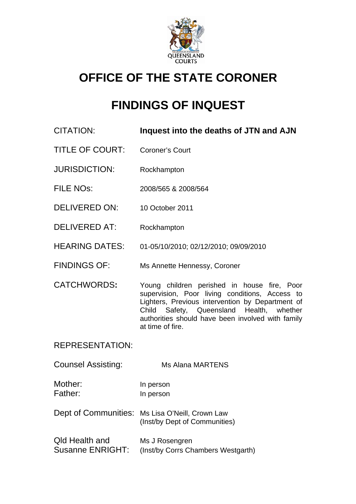

# **OFFICE OF THE STATE CORONER**

# **FINDINGS OF INQUEST**

- CITATION: **Inquest into the deaths of JTN and AJN**
- TITLE OF COURT: Coroner's Court
- JURISDICTION: Rockhampton
- FILE NOs: 2008/565 & 2008/564
- DELIVERED ON: 10 October 2011
- DELIVERED AT: Rockhampton
- HEARING DATES: 01-05/10/2010; 02/12/2010; 09/09/2010
- FINDINGS OF: Ms Annette Hennessy, Coroner
- CATCHWORDS**:** Young children perished in house fire, Poor supervision, Poor living conditions, Access to Lighters, Previous intervention by Department of Child Safety, Queensland Health, whether authorities should have been involved with family at time of fire.

REPRESENTATION:

Counsel Assisting: Ms Alana MARTENS

- Mother: In person Father: In person
- Dept of Communities: Ms Lisa O'Neill, Crown Law (Inst/by Dept of Communities)
- Qld Health and Ms J Rosengren Susanne ENRIGHT: (Inst/by Corrs Chambers Westgarth)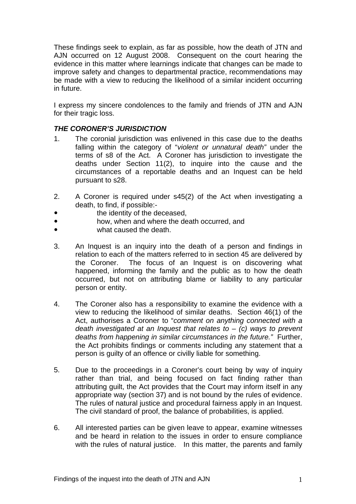These findings seek to explain, as far as possible, how the death of JTN and AJN occurred on 12 August 2008. Consequent on the court hearing the evidence in this matter where learnings indicate that changes can be made to improve safety and changes to departmental practice, recommendations may be made with a view to reducing the likelihood of a similar incident occurring in future.

I express my sincere condolences to the family and friends of JTN and AJN for their tragic loss.

## *THE CORONER'S JURISDICTION*

- 1. The coronial jurisdiction was enlivened in this case due to the deaths falling within the category of "*violent or unnatural death"* under the terms of s8 of the Act. A Coroner has jurisdiction to investigate the deaths under Section 11(2), to inquire into the cause and the circumstances of a reportable deaths and an Inquest can be held pursuant to s28.
- 2. A Coroner is required under s45(2) of the Act when investigating a death, to find, if possible:-
- the identity of the deceased.
- **how, when and where the death occurred, and**
- what caused the death.
- 3. An Inquest is an inquiry into the death of a person and findings in relation to each of the matters referred to in section 45 are delivered by the Coroner. The focus of an Inquest is on discovering what happened, informing the family and the public as to how the death occurred, but not on attributing blame or liability to any particular person or entity.
- 4. The Coroner also has a responsibility to examine the evidence with a view to reducing the likelihood of similar deaths. Section 46(1) of the Act, authorises a Coroner to "*comment on anything connected with a death investigated at an Inquest that relates to* – *(c) ways to prevent deaths from happening in similar circumstances in the future."* Further, the Act prohibits findings or comments including any statement that a person is guilty of an offence or civilly liable for something.
- 5. Due to the proceedings in a Coroner's court being by way of inquiry rather than trial, and being focused on fact finding rather than attributing guilt, the Act provides that the Court may inform itself in any appropriate way (section 37) and is not bound by the rules of evidence. The rules of natural justice and procedural fairness apply in an Inquest. The civil standard of proof, the balance of probabilities, is applied.
- 6. All interested parties can be given leave to appear, examine witnesses and be heard in relation to the issues in order to ensure compliance with the rules of natural justice. In this matter, the parents and family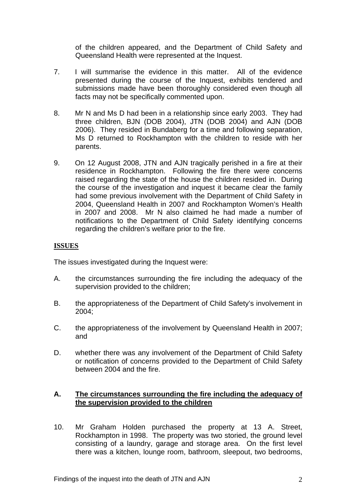of the children appeared, and the Department of Child Safety and Queensland Health were represented at the Inquest.

- 7. I will summarise the evidence in this matter. All of the evidence presented during the course of the Inquest, exhibits tendered and submissions made have been thoroughly considered even though all facts may not be specifically commented upon.
- 8. Mr N and Ms D had been in a relationship since early 2003. They had three children, BJN (DOB 2004), JTN (DOB 2004) and AJN (DOB 2006). They resided in Bundaberg for a time and following separation, Ms D returned to Rockhampton with the children to reside with her parents.
- 9. On 12 August 2008, JTN and AJN tragically perished in a fire at their residence in Rockhampton. Following the fire there were concerns raised regarding the state of the house the children resided in. During the course of the investigation and inquest it became clear the family had some previous involvement with the Department of Child Safety in 2004, Queensland Health in 2007 and Rockhampton Women's Health in 2007 and 2008. Mr N also claimed he had made a number of notifications to the Department of Child Safety identifying concerns regarding the children's welfare prior to the fire.

## **ISSUES**

The issues investigated during the Inquest were:

- A. the circumstances surrounding the fire including the adequacy of the supervision provided to the children;
- B. the appropriateness of the Department of Child Safety's involvement in 2004;
- C. the appropriateness of the involvement by Queensland Health in 2007; and
- D. whether there was any involvement of the Department of Child Safety or notification of concerns provided to the Department of Child Safety between 2004 and the fire.

## **A. The circumstances surrounding the fire including the adequacy of the supervision provided to the children**

10. Mr Graham Holden purchased the property at 13 A. Street, Rockhampton in 1998. The property was two storied, the ground level consisting of a laundry, garage and storage area. On the first level there was a kitchen, lounge room, bathroom, sleepout, two bedrooms,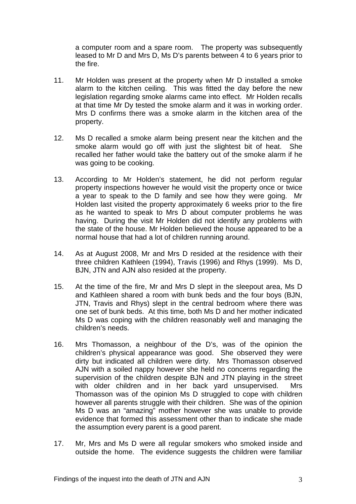a computer room and a spare room. The property was subsequently leased to Mr D and Mrs D, Ms D's parents between 4 to 6 years prior to the fire.

- 11. Mr Holden was present at the property when Mr D installed a smoke alarm to the kitchen ceiling. This was fitted the day before the new legislation regarding smoke alarms came into effect. Mr Holden recalls at that time Mr Dy tested the smoke alarm and it was in working order. Mrs D confirms there was a smoke alarm in the kitchen area of the property.
- 12. Ms D recalled a smoke alarm being present near the kitchen and the smoke alarm would go off with just the slightest bit of heat. She recalled her father would take the battery out of the smoke alarm if he was going to be cooking.
- 13. According to Mr Holden's statement, he did not perform regular property inspections however he would visit the property once or twice a year to speak to the D family and see how they were going. Mr Holden last visited the property approximately 6 weeks prior to the fire as he wanted to speak to Mrs D about computer problems he was having. During the visit Mr Holden did not identify any problems with the state of the house. Mr Holden believed the house appeared to be a normal house that had a lot of children running around.
- 14. As at August 2008, Mr and Mrs D resided at the residence with their three children Kathleen (1994), Travis (1996) and Rhys (1999). Ms D, BJN, JTN and AJN also resided at the property.
- 15. At the time of the fire, Mr and Mrs D slept in the sleepout area, Ms D and Kathleen shared a room with bunk beds and the four boys (BJN, JTN, Travis and Rhys) slept in the central bedroom where there was one set of bunk beds. At this time, both Ms D and her mother indicated Ms D was coping with the children reasonably well and managing the children's needs.
- 16. Mrs Thomasson, a neighbour of the D's, was of the opinion the children's physical appearance was good. She observed they were dirty but indicated all children were dirty. Mrs Thomasson observed AJN with a soiled nappy however she held no concerns regarding the supervision of the children despite BJN and JTN playing in the street with older children and in her back yard unsupervised. Mrs Thomasson was of the opinion Ms D struggled to cope with children however all parents struggle with their children. She was of the opinion Ms D was an "amazing" mother however she was unable to provide evidence that formed this assessment other than to indicate she made the assumption every parent is a good parent.
- 17. Mr, Mrs and Ms D were all regular smokers who smoked inside and outside the home. The evidence suggests the children were familiar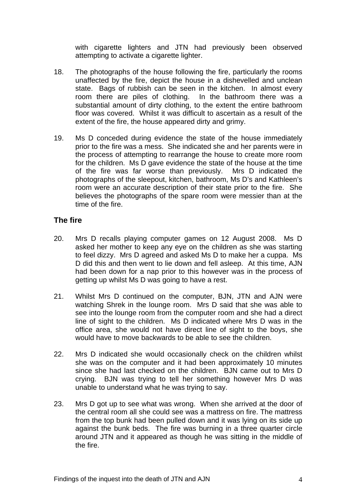with cigarette lighters and JTN had previously been observed attempting to activate a cigarette lighter.

- 18. The photographs of the house following the fire, particularly the rooms unaffected by the fire, depict the house in a dishevelled and unclean state. Bags of rubbish can be seen in the kitchen. In almost every room there are piles of clothing. In the bathroom there was a substantial amount of dirty clothing, to the extent the entire bathroom floor was covered. Whilst it was difficult to ascertain as a result of the extent of the fire, the house appeared dirty and grimy.
- 19. Ms D conceded during evidence the state of the house immediately prior to the fire was a mess. She indicated she and her parents were in the process of attempting to rearrange the house to create more room for the children. Ms D gave evidence the state of the house at the time of the fire was far worse than previously. Mrs D indicated the photographs of the sleepout, kitchen, bathroom, Ms D's and Kathleen's room were an accurate description of their state prior to the fire. She believes the photographs of the spare room were messier than at the time of the fire.

# **The fire**

- 20. Mrs D recalls playing computer games on 12 August 2008. Ms D asked her mother to keep any eye on the children as she was starting to feel dizzy. Mrs D agreed and asked Ms D to make her a cuppa. Ms D did this and then went to lie down and fell asleep. At this time, AJN had been down for a nap prior to this however was in the process of getting up whilst Ms D was going to have a rest.
- 21. Whilst Mrs D continued on the computer, BJN, JTN and AJN were watching Shrek in the lounge room. Mrs D said that she was able to see into the lounge room from the computer room and she had a direct line of sight to the children. Ms D indicated where Mrs D was in the office area, she would not have direct line of sight to the boys, she would have to move backwards to be able to see the children.
- 22. Mrs D indicated she would occasionally check on the children whilst she was on the computer and it had been approximately 10 minutes since she had last checked on the children. BJN came out to Mrs D crying. BJN was trying to tell her something however Mrs D was unable to understand what he was trying to say.
- 23. Mrs D got up to see what was wrong. When she arrived at the door of the central room all she could see was a mattress on fire. The mattress from the top bunk had been pulled down and it was lying on its side up against the bunk beds. The fire was burning in a three quarter circle around JTN and it appeared as though he was sitting in the middle of the fire.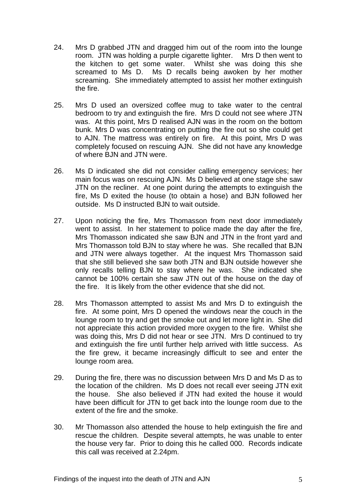- 24. Mrs D grabbed JTN and dragged him out of the room into the lounge room. JTN was holding a purple cigarette lighter. Mrs D then went to the kitchen to get some water. Whilst she was doing this she screamed to Ms D. Ms D recalls being awoken by her mother screaming. She immediately attempted to assist her mother extinguish the fire.
- 25. Mrs D used an oversized coffee mug to take water to the central bedroom to try and extinguish the fire. Mrs D could not see where JTN was. At this point, Mrs D realised AJN was in the room on the bottom bunk. Mrs D was concentrating on putting the fire out so she could get to AJN. The mattress was entirely on fire. At this point, Mrs D was completely focused on rescuing AJN. She did not have any knowledge of where BJN and JTN were.
- 26. Ms D indicated she did not consider calling emergency services; her main focus was on rescuing AJN. Ms D believed at one stage she saw JTN on the recliner. At one point during the attempts to extinguish the fire, Ms D exited the house (to obtain a hose) and BJN followed her outside. Ms D instructed BJN to wait outside.
- 27. Upon noticing the fire, Mrs Thomasson from next door immediately went to assist. In her statement to police made the day after the fire, Mrs Thomasson indicated she saw BJN and JTN in the front yard and Mrs Thomasson told BJN to stay where he was. She recalled that BJN and JTN were always together. At the inquest Mrs Thomasson said that she still believed she saw both JTN and BJN outside however she only recalls telling BJN to stay where he was. She indicated she cannot be 100% certain she saw JTN out of the house on the day of the fire. It is likely from the other evidence that she did not.
- 28. Mrs Thomasson attempted to assist Ms and Mrs D to extinguish the fire. At some point, Mrs D opened the windows near the couch in the lounge room to try and get the smoke out and let more light in. She did not appreciate this action provided more oxygen to the fire. Whilst she was doing this, Mrs D did not hear or see JTN. Mrs D continued to try and extinguish the fire until further help arrived with little success. As the fire grew, it became increasingly difficult to see and enter the lounge room area.
- 29. During the fire, there was no discussion between Mrs D and Ms D as to the location of the children. Ms D does not recall ever seeing JTN exit the house. She also believed if JTN had exited the house it would have been difficult for JTN to get back into the lounge room due to the extent of the fire and the smoke.
- 30. Mr Thomasson also attended the house to help extinguish the fire and rescue the children. Despite several attempts, he was unable to enter the house very far. Prior to doing this he called 000. Records indicate this call was received at 2.24pm.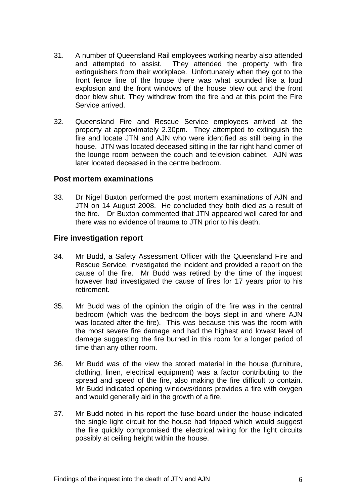- 31. A number of Queensland Rail employees working nearby also attended and attempted to assist. They attended the property with fire extinguishers from their workplace. Unfortunately when they got to the front fence line of the house there was what sounded like a loud explosion and the front windows of the house blew out and the front door blew shut. They withdrew from the fire and at this point the Fire Service arrived.
- 32. Queensland Fire and Rescue Service employees arrived at the property at approximately 2.30pm. They attempted to extinguish the fire and locate JTN and AJN who were identified as still being in the house. JTN was located deceased sitting in the far right hand corner of the lounge room between the couch and television cabinet. AJN was later located deceased in the centre bedroom.

## **Post mortem examinations**

33. Dr Nigel Buxton performed the post mortem examinations of AJN and JTN on 14 August 2008. He concluded they both died as a result of the fire. Dr Buxton commented that JTN appeared well cared for and there was no evidence of trauma to JTN prior to his death.

## **Fire investigation report**

- 34. Mr Budd, a Safety Assessment Officer with the Queensland Fire and Rescue Service, investigated the incident and provided a report on the cause of the fire. Mr Budd was retired by the time of the inquest however had investigated the cause of fires for 17 years prior to his retirement.
- 35. Mr Budd was of the opinion the origin of the fire was in the central bedroom (which was the bedroom the boys slept in and where AJN was located after the fire). This was because this was the room with the most severe fire damage and had the highest and lowest level of damage suggesting the fire burned in this room for a longer period of time than any other room.
- 36. Mr Budd was of the view the stored material in the house (furniture, clothing, linen, electrical equipment) was a factor contributing to the spread and speed of the fire, also making the fire difficult to contain. Mr Budd indicated opening windows/doors provides a fire with oxygen and would generally aid in the growth of a fire.
- 37. Mr Budd noted in his report the fuse board under the house indicated the single light circuit for the house had tripped which would suggest the fire quickly compromised the electrical wiring for the light circuits possibly at ceiling height within the house.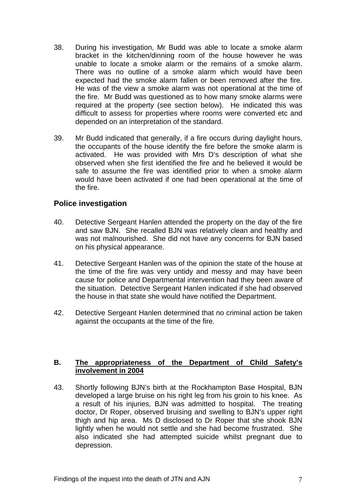- 38. During his investigation, Mr Budd was able to locate a smoke alarm bracket in the kitchen/dinning room of the house however he was unable to locate a smoke alarm or the remains of a smoke alarm. There was no outline of a smoke alarm which would have been expected had the smoke alarm fallen or been removed after the fire. He was of the view a smoke alarm was not operational at the time of the fire. Mr Budd was questioned as to how many smoke alarms were required at the property (see section below). He indicated this was difficult to assess for properties where rooms were converted etc and depended on an interpretation of the standard.
- 39. Mr Budd indicated that generally, if a fire occurs during daylight hours, the occupants of the house identify the fire before the smoke alarm is activated. He was provided with Mrs D's description of what she observed when she first identified the fire and he believed it would be safe to assume the fire was identified prior to when a smoke alarm would have been activated if one had been operational at the time of the fire.

# **Police investigation**

- 40. Detective Sergeant Hanlen attended the property on the day of the fire and saw BJN. She recalled BJN was relatively clean and healthy and was not malnourished. She did not have any concerns for BJN based on his physical appearance.
- 41. Detective Sergeant Hanlen was of the opinion the state of the house at the time of the fire was very untidy and messy and may have been cause for police and Departmental intervention had they been aware of the situation. Detective Sergeant Hanlen indicated if she had observed the house in that state she would have notified the Department.
- 42. Detective Sergeant Hanlen determined that no criminal action be taken against the occupants at the time of the fire.

## **B. The appropriateness of the Department of Child Safety's involvement in 2004**

43. Shortly following BJN's birth at the Rockhampton Base Hospital, BJN developed a large bruise on his right leg from his groin to his knee. As a result of his injuries, BJN was admitted to hospital. The treating doctor, Dr Roper, observed bruising and swelling to BJN's upper right thigh and hip area. Ms D disclosed to Dr Roper that she shook BJN lightly when he would not settle and she had become frustrated. She also indicated she had attempted suicide whilst pregnant due to depression.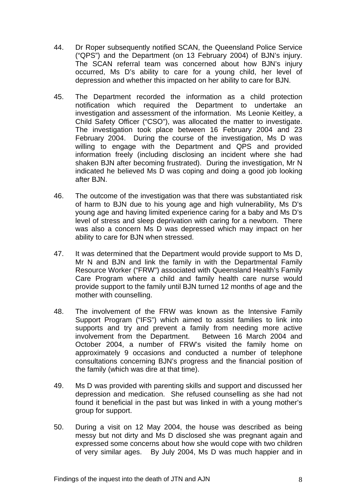- 44. Dr Roper subsequently notified SCAN, the Queensland Police Service ("QPS") and the Department (on 13 February 2004) of BJN's injury. The SCAN referral team was concerned about how BJN's injury occurred, Ms D's ability to care for a young child, her level of depression and whether this impacted on her ability to care for BJN.
- 45. The Department recorded the information as a child protection notification which required the Department to undertake an investigation and assessment of the information. Ms Leonie Keitley, a Child Safety Officer ("CSO"), was allocated the matter to investigate. The investigation took place between 16 February 2004 and 23 February 2004. During the course of the investigation, Ms D was willing to engage with the Department and QPS and provided information freely (including disclosing an incident where she had shaken BJN after becoming frustrated). During the investigation, Mr N indicated he believed Ms D was coping and doing a good job looking after BJN.
- 46. The outcome of the investigation was that there was substantiated risk of harm to BJN due to his young age and high vulnerability, Ms D's young age and having limited experience caring for a baby and Ms D's level of stress and sleep deprivation with caring for a newborn. There was also a concern Ms D was depressed which may impact on her ability to care for BJN when stressed.
- 47. It was determined that the Department would provide support to Ms D, Mr N and BJN and link the family in with the Departmental Family Resource Worker ("FRW") associated with Queensland Health's Family Care Program where a child and family health care nurse would provide support to the family until BJN turned 12 months of age and the mother with counselling.
- 48. The involvement of the FRW was known as the Intensive Family Support Program ("IFS") which aimed to assist families to link into supports and try and prevent a family from needing more active involvement from the Department. Between 16 March 2004 and October 2004, a number of FRW's visited the family home on approximately 9 occasions and conducted a number of telephone consultations concerning BJN's progress and the financial position of the family (which was dire at that time).
- 49. Ms D was provided with parenting skills and support and discussed her depression and medication. She refused counselling as she had not found it beneficial in the past but was linked in with a young mother's group for support.
- 50. During a visit on 12 May 2004, the house was described as being messy but not dirty and Ms D disclosed she was pregnant again and expressed some concerns about how she would cope with two children of very similar ages. By July 2004, Ms D was much happier and in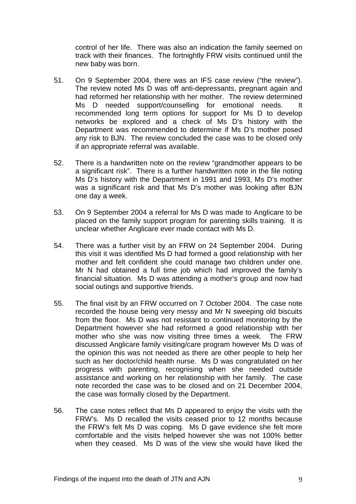control of her life. There was also an indication the family seemed on track with their finances. The fortnightly FRW visits continued until the new baby was born.

- 51. On 9 September 2004, there was an IFS case review ("the review"). The review noted Ms D was off anti-depressants, pregnant again and had reformed her relationship with her mother. The review determined Ms D needed support/counselling for emotional needs. It recommended long term options for support for Ms D to develop networks be explored and a check of Ms D's history with the Department was recommended to determine if Ms D's mother posed any risk to BJN. The review concluded the case was to be closed only if an appropriate referral was available.
- 52. There is a handwritten note on the review "grandmother appears to be a significant risk". There is a further handwritten note in the file noting Ms D's history with the Department in 1991 and 1993, Ms D's mother was a significant risk and that Ms D's mother was looking after BJN one day a week.
- 53. On 9 September 2004 a referral for Ms D was made to Anglicare to be placed on the family support program for parenting skills training. It is unclear whether Anglicare ever made contact with Ms D.
- 54. There was a further visit by an FRW on 24 September 2004. During this visit it was identified Ms D had formed a good relationship with her mother and felt confident she could manage two children under one. Mr N had obtained a full time job which had improved the family's financial situation. Ms D was attending a mother's group and now had social outings and supportive friends.
- 55. The final visit by an FRW occurred on 7 October 2004. The case note recorded the house being very messy and Mr N sweeping old biscuits from the floor. Ms D was not resistant to continued monitoring by the Department however she had reformed a good relationship with her mother who she was now visiting three times a week. The FRW discussed Anglicare family visiting/care program however Ms D was of the opinion this was not needed as there are other people to help her such as her doctor/child health nurse. Ms D was congratulated on her progress with parenting, recognising when she needed outside assistance and working on her relationship with her family. The case note recorded the case was to be closed and on 21 December 2004, the case was formally closed by the Department.
- 56. The case notes reflect that Ms D appeared to enjoy the visits with the FRW's. Ms D recalled the visits ceased prior to 12 months because the FRW's felt Ms D was coping. Ms D gave evidence she felt more comfortable and the visits helped however she was not 100% better when they ceased. Ms D was of the view she would have liked the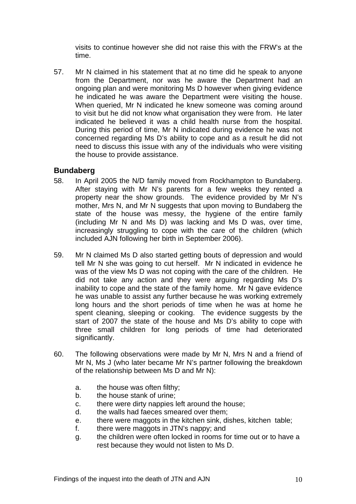visits to continue however she did not raise this with the FRW's at the time.

57. Mr N claimed in his statement that at no time did he speak to anyone from the Department, nor was he aware the Department had an ongoing plan and were monitoring Ms D however when giving evidence he indicated he was aware the Department were visiting the house. When queried, Mr N indicated he knew someone was coming around to visit but he did not know what organisation they were from. He later indicated he believed it was a child health nurse from the hospital. During this period of time, Mr N indicated during evidence he was not concerned regarding Ms D's ability to cope and as a result he did not need to discuss this issue with any of the individuals who were visiting the house to provide assistance.

## **Bundaberg**

- 58. In April 2005 the N/D family moved from Rockhampton to Bundaberg. After staying with Mr N's parents for a few weeks they rented a property near the show grounds. The evidence provided by Mr N's mother, Mrs N, and Mr N suggests that upon moving to Bundaberg the state of the house was messy, the hygiene of the entire family (including Mr N and Ms D) was lacking and Ms D was, over time, increasingly struggling to cope with the care of the children (which included AJN following her birth in September 2006).
- 59. Mr N claimed Ms D also started getting bouts of depression and would tell Mr N she was going to cut herself. Mr N indicated in evidence he was of the view Ms D was not coping with the care of the children. He did not take any action and they were arguing regarding Ms D's inability to cope and the state of the family home. Mr N gave evidence he was unable to assist any further because he was working extremely long hours and the short periods of time when he was at home he spent cleaning, sleeping or cooking. The evidence suggests by the start of 2007 the state of the house and Ms D's ability to cope with three small children for long periods of time had deteriorated significantly.
- 60. The following observations were made by Mr N, Mrs N and a friend of Mr N, Ms J (who later became Mr N's partner following the breakdown of the relationship between Ms D and Mr N):
	- a. the house was often filthy;
	- b. the house stank of urine;
	- c. there were dirty nappies left around the house;
	- d. the walls had faeces smeared over them;
	- e. there were maggots in the kitchen sink, dishes, kitchen table;
	- f. there were maggots in JTN's nappy; and
	- g. the children were often locked in rooms for time out or to have a rest because they would not listen to Ms D.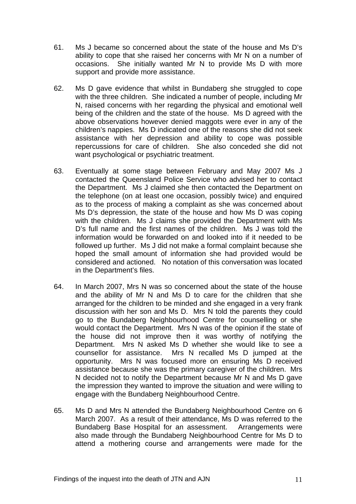- 61. Ms J became so concerned about the state of the house and Ms D's ability to cope that she raised her concerns with Mr N on a number of occasions. She initially wanted Mr N to provide Ms D with more support and provide more assistance.
- 62. Ms D gave evidence that whilst in Bundaberg she struggled to cope with the three children. She indicated a number of people, including Mr N, raised concerns with her regarding the physical and emotional well being of the children and the state of the house. Ms D agreed with the above observations however denied maggots were ever in any of the children's nappies. Ms D indicated one of the reasons she did not seek assistance with her depression and ability to cope was possible repercussions for care of children. She also conceded she did not want psychological or psychiatric treatment.
- 63. Eventually at some stage between February and May 2007 Ms J contacted the Queensland Police Service who advised her to contact the Department. Ms J claimed she then contacted the Department on the telephone (on at least one occasion, possibly twice) and enquired as to the process of making a complaint as she was concerned about Ms D's depression, the state of the house and how Ms D was coping with the children. Ms J claims she provided the Department with Ms D's full name and the first names of the children. Ms J was told the information would be forwarded on and looked into if it needed to be followed up further. Ms J did not make a formal complaint because she hoped the small amount of information she had provided would be considered and actioned. No notation of this conversation was located in the Department's files.
- 64. In March 2007, Mrs N was so concerned about the state of the house and the ability of Mr N and Ms D to care for the children that she arranged for the children to be minded and she engaged in a very frank discussion with her son and Ms D. Mrs N told the parents they could go to the Bundaberg Neighbourhood Centre for counselling or she would contact the Department. Mrs N was of the opinion if the state of the house did not improve then it was worthy of notifying the Department. Mrs N asked Ms D whether she would like to see a counsellor for assistance. Mrs N recalled Ms D jumped at the opportunity. Mrs N was focused more on ensuring Ms D received assistance because she was the primary caregiver of the children. Mrs N decided not to notify the Department because Mr N and Ms D gave the impression they wanted to improve the situation and were willing to engage with the Bundaberg Neighbourhood Centre.
- 65. Ms D and Mrs N attended the Bundaberg Neighbourhood Centre on 6 March 2007. As a result of their attendance, Ms D was referred to the Bundaberg Base Hospital for an assessment. Arrangements were also made through the Bundaberg Neighbourhood Centre for Ms D to attend a mothering course and arrangements were made for the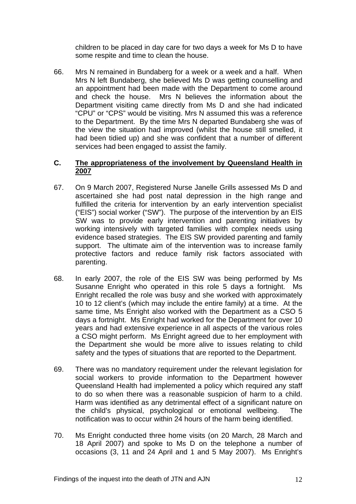children to be placed in day care for two days a week for Ms D to have some respite and time to clean the house.

66. Mrs N remained in Bundaberg for a week or a week and a half. When Mrs N left Bundaberg, she believed Ms D was getting counselling and an appointment had been made with the Department to come around and check the house. Mrs N believes the information about the Department visiting came directly from Ms D and she had indicated "CPU" or "CPS" would be visiting. Mrs N assumed this was a reference to the Department. By the time Mrs N departed Bundaberg she was of the view the situation had improved (whilst the house still smelled, it had been tidied up) and she was confident that a number of different services had been engaged to assist the family.

## **C. The appropriateness of the involvement by Queensland Health in 2007**

- 67. On 9 March 2007, Registered Nurse Janelle Grills assessed Ms D and ascertained she had post natal depression in the high range and fulfilled the criteria for intervention by an early intervention specialist ("EIS") social worker ("SW"). The purpose of the intervention by an EIS SW was to provide early intervention and parenting initiatives by working intensively with targeted families with complex needs using evidence based strategies. The EIS SW provided parenting and family support. The ultimate aim of the intervention was to increase family protective factors and reduce family risk factors associated with parenting.
- 68. In early 2007, the role of the EIS SW was being performed by Ms Susanne Enright who operated in this role 5 days a fortnight. Ms Enright recalled the role was busy and she worked with approximately 10 to 12 client's (which may include the entire family) at a time. At the same time, Ms Enright also worked with the Department as a CSO 5 days a fortnight. Ms Enright had worked for the Department for over 10 years and had extensive experience in all aspects of the various roles a CSO might perform. Ms Enright agreed due to her employment with the Department she would be more alive to issues relating to child safety and the types of situations that are reported to the Department.
- 69. There was no mandatory requirement under the relevant legislation for social workers to provide information to the Department however Queensland Health had implemented a policy which required any staff to do so when there was a reasonable suspicion of harm to a child. Harm was identified as any detrimental effect of a significant nature on the child's physical, psychological or emotional wellbeing. The notification was to occur within 24 hours of the harm being identified.
- 70. Ms Enright conducted three home visits (on 20 March, 28 March and 18 April 2007) and spoke to Ms D on the telephone a number of occasions (3, 11 and 24 April and 1 and 5 May 2007). Ms Enright's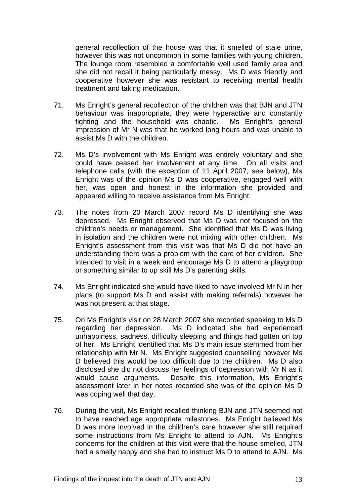general recollection of the house was that it smelled of stale urine, however this was not uncommon in some families with young children. The lounge room resembled a comfortable well used family area and she did not recall it being particularly messy. Ms D was friendly and cooperative however she was resistant to receiving mental health treatment and taking medication.

- 71. Ms Enright's general recollection of the children was that BJN and JTN behaviour was inappropriate, they were hyperactive and constantly fighting and the household was chaotic. Ms Enright's general impression of Mr N was that he worked long hours and was unable to assist Ms D with the children.
- 72. Ms D's involvement with Ms Enright was entirely voluntary and she could have ceased her involvement at any time. On all visits and telephone calls (with the exception of 11 April 2007, see below), Ms Enright was of the opinion Ms D was cooperative, engaged well with her, was open and honest in the information she provided and appeared willing to receive assistance from Ms Enright.
- 73. The notes from 20 March 2007 record Ms D identifying she was depressed. Ms Enright observed that Ms D was not focused on the children's needs or management. She identified that Ms D was living in isolation and the children were not mixing with other children. Ms Enright's assessment from this visit was that Ms D did not have an understanding there was a problem with the care of her children. She intended to visit in a week and encourage Ms D to attend a playgroup or something similar to up skill Ms D's parenting skills.
- 74. Ms Enright indicated she would have liked to have involved Mr N in her plans (to support Ms D and assist with making referrals) however he was not present at that stage.
- 75. On Ms Enright's visit on 28 March 2007 she recorded speaking to Ms D regarding her depression. Ms D indicated she had experienced unhappiness, sadness, difficulty sleeping and things had gotten on top of her. Ms Enright identified that Ms D's main issue stemmed from her relationship with Mr N. Ms Enright suggested counselling however Ms D believed this would be too difficult due to the children. Ms D also disclosed she did not discuss her feelings of depression with Mr N as it would cause arguments. Despite this information, Ms Enright's assessment later in her notes recorded she was of the opinion Ms D was coping well that day.
- 76. During the visit, Ms Enright recalled thinking BJN and JTN seemed not to have reached age appropriate milestones. Ms Enright believed Ms D was more involved in the children's care however she still required some instructions from Ms Enright to attend to AJN. Ms Enright's concerns for the children at this visit were that the house smelled, JTN had a smelly nappy and she had to instruct Ms D to attend to AJN. Ms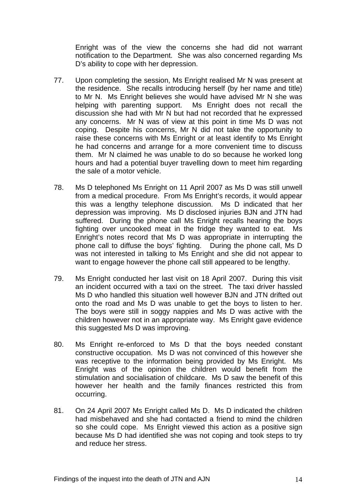Enright was of the view the concerns she had did not warrant notification to the Department. She was also concerned regarding Ms D's ability to cope with her depression.

- 77. Upon completing the session, Ms Enright realised Mr N was present at the residence. She recalls introducing herself (by her name and title) to Mr N. Ms Enright believes she would have advised Mr N she was helping with parenting support. Ms Enright does not recall the discussion she had with Mr N but had not recorded that he expressed any concerns. Mr N was of view at this point in time Ms D was not coping. Despite his concerns, Mr N did not take the opportunity to raise these concerns with Ms Enright or at least identify to Ms Enright he had concerns and arrange for a more convenient time to discuss them. Mr N claimed he was unable to do so because he worked long hours and had a potential buyer travelling down to meet him regarding the sale of a motor vehicle.
- 78. Ms D telephoned Ms Enright on 11 April 2007 as Ms D was still unwell from a medical procedure. From Ms Enright's records, it would appear this was a lengthy telephone discussion. Ms D indicated that her depression was improving. Ms D disclosed injuries BJN and JTN had suffered. During the phone call Ms Enright recalls hearing the boys fighting over uncooked meat in the fridge they wanted to eat. Ms Enright's notes record that Ms D was appropriate in interrupting the phone call to diffuse the boys' fighting. During the phone call, Ms D was not interested in talking to Ms Enright and she did not appear to want to engage however the phone call still appeared to be lengthy.
- 79. Ms Enright conducted her last visit on 18 April 2007. During this visit an incident occurred with a taxi on the street. The taxi driver hassled Ms D who handled this situation well however BJN and JTN drifted out onto the road and Ms D was unable to get the boys to listen to her. The boys were still in soggy nappies and Ms D was active with the children however not in an appropriate way. Ms Enright gave evidence this suggested Ms D was improving.
- 80. Ms Enright re-enforced to Ms D that the boys needed constant constructive occupation. Ms D was not convinced of this however she was receptive to the information being provided by Ms Enright. Ms Enright was of the opinion the children would benefit from the stimulation and socialisation of childcare. Ms D saw the benefit of this however her health and the family finances restricted this from occurring.
- 81. On 24 April 2007 Ms Enright called Ms D. Ms D indicated the children had misbehaved and she had contacted a friend to mind the children so she could cope. Ms Enright viewed this action as a positive sign because Ms D had identified she was not coping and took steps to try and reduce her stress.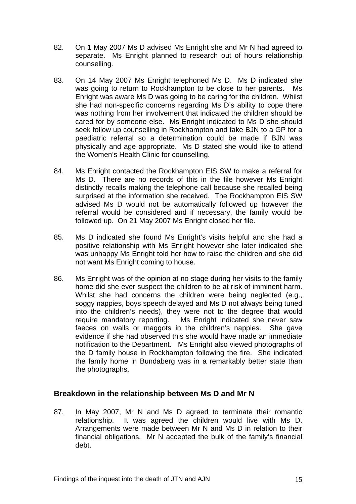- 82. On 1 May 2007 Ms D advised Ms Enright she and Mr N had agreed to separate. Ms Enright planned to research out of hours relationship counselling.
- 83. On 14 May 2007 Ms Enright telephoned Ms D. Ms D indicated she was going to return to Rockhampton to be close to her parents. Ms Enright was aware Ms D was going to be caring for the children. Whilst she had non-specific concerns regarding Ms D's ability to cope there was nothing from her involvement that indicated the children should be cared for by someone else. Ms Enright indicated to Ms D she should seek follow up counselling in Rockhampton and take BJN to a GP for a paediatric referral so a determination could be made if BJN was physically and age appropriate. Ms D stated she would like to attend the Women's Health Clinic for counselling.
- 84. Ms Enright contacted the Rockhampton EIS SW to make a referral for Ms D. There are no records of this in the file however Ms Enright distinctly recalls making the telephone call because she recalled being surprised at the information she received. The Rockhampton EIS SW advised Ms D would not be automatically followed up however the referral would be considered and if necessary, the family would be followed up. On 21 May 2007 Ms Enright closed her file.
- 85. Ms D indicated she found Ms Enright's visits helpful and she had a positive relationship with Ms Enright however she later indicated she was unhappy Ms Enright told her how to raise the children and she did not want Ms Enright coming to house.
- 86. Ms Enright was of the opinion at no stage during her visits to the family home did she ever suspect the children to be at risk of imminent harm. Whilst she had concerns the children were being neglected (e.g., soggy nappies, boys speech delayed and Ms D not always being tuned into the children's needs), they were not to the degree that would require mandatory reporting. Ms Enright indicated she never saw faeces on walls or maggots in the children's nappies. She gave evidence if she had observed this she would have made an immediate notification to the Department. Ms Enright also viewed photographs of the D family house in Rockhampton following the fire. She indicated the family home in Bundaberg was in a remarkably better state than the photographs.

# **Breakdown in the relationship between Ms D and Mr N**

87. In May 2007, Mr N and Ms D agreed to terminate their romantic relationship. It was agreed the children would live with Ms D. Arrangements were made between Mr N and Ms D in relation to their financial obligations. Mr N accepted the bulk of the family's financial debt.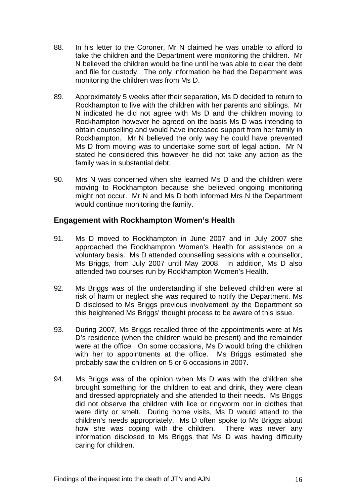- 88. In his letter to the Coroner, Mr N claimed he was unable to afford to take the children and the Department were monitoring the children. Mr N believed the children would be fine until he was able to clear the debt and file for custody. The only information he had the Department was monitoring the children was from Ms D.
- 89. Approximately 5 weeks after their separation, Ms D decided to return to Rockhampton to live with the children with her parents and siblings. Mr N indicated he did not agree with Ms D and the children moving to Rockhampton however he agreed on the basis Ms D was intending to obtain counselling and would have increased support from her family in Rockhampton. Mr N believed the only way he could have prevented Ms D from moving was to undertake some sort of legal action. Mr N stated he considered this however he did not take any action as the family was in substantial debt.
- 90. Mrs N was concerned when she learned Ms D and the children were moving to Rockhampton because she believed ongoing monitoring might not occur. Mr N and Ms D both informed Mrs N the Department would continue monitoring the family.

# **Engagement with Rockhampton Women's Health**

- 91. Ms D moved to Rockhampton in June 2007 and in July 2007 she approached the Rockhampton Women's Health for assistance on a voluntary basis. Ms D attended counselling sessions with a counsellor, Ms Briggs, from July 2007 until May 2008. In addition, Ms D also attended two courses run by Rockhampton Women's Health.
- 92. Ms Briggs was of the understanding if she believed children were at risk of harm or neglect she was required to notify the Department. Ms D disclosed to Ms Briggs previous involvement by the Department so this heightened Ms Briggs' thought process to be aware of this issue.
- 93. During 2007, Ms Briggs recalled three of the appointments were at Ms D's residence (when the children would be present) and the remainder were at the office. On some occasions, Ms D would bring the children with her to appointments at the office. Ms Briggs estimated she probably saw the children on 5 or 6 occasions in 2007.
- 94. Ms Briggs was of the opinion when Ms D was with the children she brought something for the children to eat and drink, they were clean and dressed appropriately and she attended to their needs. Ms Briggs did not observe the children with lice or ringworm nor in clothes that were dirty or smelt. During home visits, Ms D would attend to the children's needs appropriately. Ms D often spoke to Ms Briggs about how she was coping with the children. There was never any information disclosed to Ms Briggs that Ms D was having difficulty caring for children.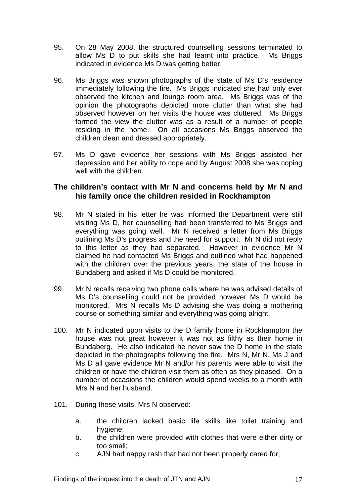- 95. On 28 May 2008, the structured counselling sessions terminated to allow Ms D to put skills she had learnt into practice. Ms Briggs indicated in evidence Ms D was getting better.
- 96. Ms Briggs was shown photographs of the state of Ms D's residence immediately following the fire. Ms Briggs indicated she had only ever observed the kitchen and lounge room area. Ms Briggs was of the opinion the photographs depicted more clutter than what she had observed however on her visits the house was cluttered. Ms Briggs formed the view the clutter was as a result of a number of people residing in the home. On all occasions Ms Briggs observed the children clean and dressed appropriately.
- 97. Ms D gave evidence her sessions with Ms Briggs assisted her depression and her ability to cope and by August 2008 she was coping well with the children.

## **The children's contact with Mr N and concerns held by Mr N and his family once the children resided in Rockhampton**

- 98. Mr N stated in his letter he was informed the Department were still visiting Ms D, her counselling had been transferred to Ms Briggs and everything was going well. Mr N received a letter from Ms Briggs outlining Ms D's progress and the need for support. Mr N did not reply to this letter as they had separated. However in evidence Mr N claimed he had contacted Ms Briggs and outlined what had happened with the children over the previous years, the state of the house in Bundaberg and asked if Ms D could be monitored.
- 99. Mr N recalls receiving two phone calls where he was advised details of Ms D's counselling could not be provided however Ms D would be monitored. Mrs N recalls Ms D advising she was doing a mothering course or something similar and everything was going alright.
- 100. Mr N indicated upon visits to the D family home in Rockhampton the house was not great however it was not as filthy as their home in Bundaberg. He also indicated he never saw the D home in the state depicted in the photographs following the fire. Mrs N, Mr N, Ms J and Ms D all gave evidence Mr N and/or his parents were able to visit the children or have the children visit them as often as they pleased. On a number of occasions the children would spend weeks to a month with Mrs N and her husband.
- 101. During these visits, Mrs N observed:
	- a. the children lacked basic life skills like toilet training and hygiene:
	- b. the children were provided with clothes that were either dirty or too small;
	- c. AJN had nappy rash that had not been properly cared for;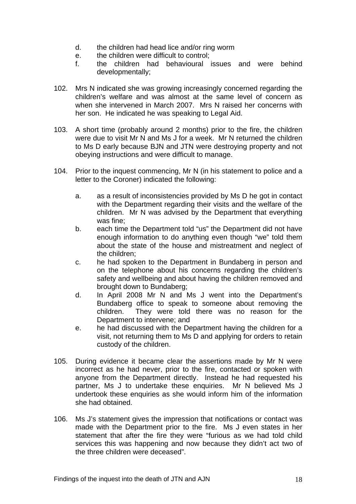- d. the children had head lice and/or ring worm
- e. the children were difficult to control;
- f. the children had behavioural issues and were behind developmentally;
- 102. Mrs N indicated she was growing increasingly concerned regarding the children's welfare and was almost at the same level of concern as when she intervened in March 2007. Mrs N raised her concerns with her son. He indicated he was speaking to Legal Aid.
- 103. A short time (probably around 2 months) prior to the fire, the children were due to visit Mr N and Ms J for a week. Mr N returned the children to Ms D early because BJN and JTN were destroying property and not obeying instructions and were difficult to manage.
- 104. Prior to the inquest commencing, Mr N (in his statement to police and a letter to the Coroner) indicated the following:
	- a. as a result of inconsistencies provided by Ms D he got in contact with the Department regarding their visits and the welfare of the children. Mr N was advised by the Department that everything was fine;
	- b. each time the Department told "us" the Department did not have enough information to do anything even though "we" told them about the state of the house and mistreatment and neglect of the children;
	- c. he had spoken to the Department in Bundaberg in person and on the telephone about his concerns regarding the children's safety and wellbeing and about having the children removed and brought down to Bundaberg;
	- d. In April 2008 Mr N and Ms J went into the Department's Bundaberg office to speak to someone about removing the children. They were told there was no reason for the Department to intervene; and
	- e. he had discussed with the Department having the children for a visit, not returning them to Ms D and applying for orders to retain custody of the children.
- 105. During evidence it became clear the assertions made by Mr N were incorrect as he had never, prior to the fire, contacted or spoken with anyone from the Department directly. Instead he had requested his partner. Ms J to undertake these enquiries. Mr N believed Ms J undertook these enquiries as she would inform him of the information she had obtained.
- 106. Ms J's statement gives the impression that notifications or contact was made with the Department prior to the fire. Ms J even states in her statement that after the fire they were "furious as we had told child services this was happening and now because they didn't act two of the three children were deceased".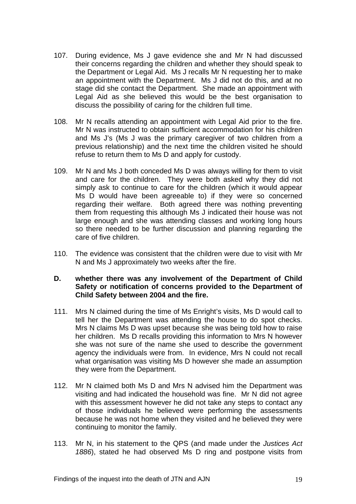- 107. During evidence, Ms J gave evidence she and Mr N had discussed their concerns regarding the children and whether they should speak to the Department or Legal Aid. Ms J recalls Mr N requesting her to make an appointment with the Department. Ms J did not do this, and at no stage did she contact the Department. She made an appointment with Legal Aid as she believed this would be the best organisation to discuss the possibility of caring for the children full time.
- 108. Mr N recalls attending an appointment with Legal Aid prior to the fire. Mr N was instructed to obtain sufficient accommodation for his children and Ms J's (Ms J was the primary caregiver of two children from a previous relationship) and the next time the children visited he should refuse to return them to Ms D and apply for custody.
- 109. Mr N and Ms J both conceded Ms D was always willing for them to visit and care for the children. They were both asked why they did not simply ask to continue to care for the children (which it would appear Ms D would have been agreeable to) if they were so concerned regarding their welfare. Both agreed there was nothing preventing them from requesting this although Ms J indicated their house was not large enough and she was attending classes and working long hours so there needed to be further discussion and planning regarding the care of five children.
- 110. The evidence was consistent that the children were due to visit with Mr N and Ms J approximately two weeks after the fire.

## **D. whether there was any involvement of the Department of Child Safety or notification of concerns provided to the Department of Child Safety between 2004 and the fire.**

- 111. Mrs N claimed during the time of Ms Enright's visits, Ms D would call to tell her the Department was attending the house to do spot checks. Mrs N claims Ms D was upset because she was being told how to raise her children. Ms D recalls providing this information to Mrs N however she was not sure of the name she used to describe the government agency the individuals were from. In evidence, Mrs N could not recall what organisation was visiting Ms D however she made an assumption they were from the Department.
- 112. Mr N claimed both Ms D and Mrs N advised him the Department was visiting and had indicated the household was fine. Mr N did not agree with this assessment however he did not take any steps to contact any of those individuals he believed were performing the assessments because he was not home when they visited and he believed they were continuing to monitor the family.
- 113. Mr N, in his statement to the QPS (and made under the *Justices Act 1886*), stated he had observed Ms D ring and postpone visits from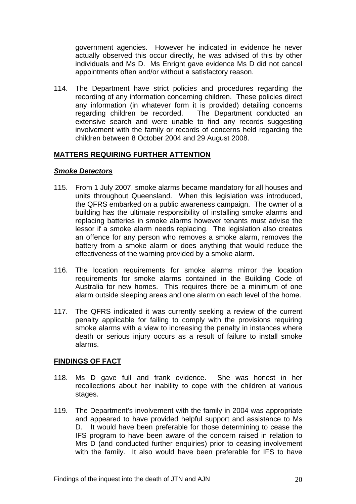government agencies. However he indicated in evidence he never actually observed this occur directly, he was advised of this by other individuals and Ms D. Ms Enright gave evidence Ms D did not cancel appointments often and/or without a satisfactory reason.

114. The Department have strict policies and procedures regarding the recording of any information concerning children. These policies direct any information (in whatever form it is provided) detailing concerns regarding children be recorded. The Department conducted an extensive search and were unable to find any records suggesting involvement with the family or records of concerns held regarding the children between 8 October 2004 and 29 August 2008.

## **MATTERS REQUIRING FURTHER ATTENTION**

#### *Smoke Detectors*

- 115. From 1 July 2007, smoke alarms became mandatory for all houses and units throughout Queensland. When this legislation was introduced, the QFRS embarked on a public awareness campaign. The owner of a building has the ultimate responsibility of installing smoke alarms and replacing batteries in smoke alarms however tenants must advise the lessor if a smoke alarm needs replacing. The legislation also creates an offence for any person who removes a smoke alarm, removes the battery from a smoke alarm or does anything that would reduce the effectiveness of the warning provided by a smoke alarm.
- 116. The location requirements for smoke alarms mirror the location requirements for smoke alarms contained in the Building Code of Australia for new homes. This requires there be a minimum of one alarm outside sleeping areas and one alarm on each level of the home.
- 117. The QFRS indicated it was currently seeking a review of the current penalty applicable for failing to comply with the provisions requiring smoke alarms with a view to increasing the penalty in instances where death or serious injury occurs as a result of failure to install smoke alarms.

## **FINDINGS OF FACT**

- 118. Ms D gave full and frank evidence. She was honest in her recollections about her inability to cope with the children at various stages.
- 119. The Department's involvement with the family in 2004 was appropriate and appeared to have provided helpful support and assistance to Ms D. It would have been preferable for those determining to cease the IFS program to have been aware of the concern raised in relation to Mrs D (and conducted further enquiries) prior to ceasing involvement with the family. It also would have been preferable for IFS to have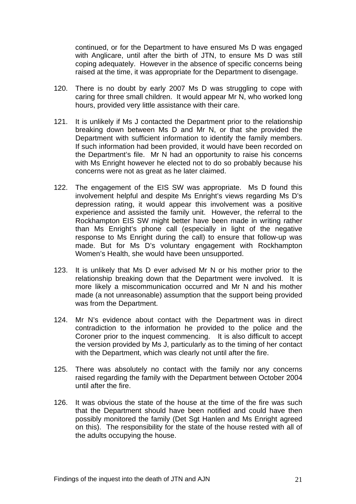continued, or for the Department to have ensured Ms D was engaged with Anglicare, until after the birth of JTN, to ensure Ms D was still coping adequately. However in the absence of specific concerns being raised at the time, it was appropriate for the Department to disengage.

- 120. There is no doubt by early 2007 Ms D was struggling to cope with caring for three small children. It would appear Mr N, who worked long hours, provided very little assistance with their care.
- 121. It is unlikely if Ms J contacted the Department prior to the relationship breaking down between Ms D and Mr N, or that she provided the Department with sufficient information to identify the family members. If such information had been provided, it would have been recorded on the Department's file. Mr N had an opportunity to raise his concerns with Ms Enright however he elected not to do so probably because his concerns were not as great as he later claimed.
- 122. The engagement of the EIS SW was appropriate. Ms D found this involvement helpful and despite Ms Enright's views regarding Ms D's depression rating, it would appear this involvement was a positive experience and assisted the family unit. However, the referral to the Rockhampton EIS SW might better have been made in writing rather than Ms Enright's phone call (especially in light of the negative response to Ms Enright during the call) to ensure that follow-up was made. But for Ms D's voluntary engagement with Rockhampton Women's Health, she would have been unsupported.
- 123. It is unlikely that Ms D ever advised Mr N or his mother prior to the relationship breaking down that the Department were involved. It is more likely a miscommunication occurred and Mr N and his mother made (a not unreasonable) assumption that the support being provided was from the Department.
- 124. Mr N's evidence about contact with the Department was in direct contradiction to the information he provided to the police and the Coroner prior to the inquest commencing. It is also difficult to accept the version provided by Ms J, particularly as to the timing of her contact with the Department, which was clearly not until after the fire.
- 125. There was absolutely no contact with the family nor any concerns raised regarding the family with the Department between October 2004 until after the fire.
- 126. It was obvious the state of the house at the time of the fire was such that the Department should have been notified and could have then possibly monitored the family (Det Sgt Hanlen and Ms Enright agreed on this). The responsibility for the state of the house rested with all of the adults occupying the house.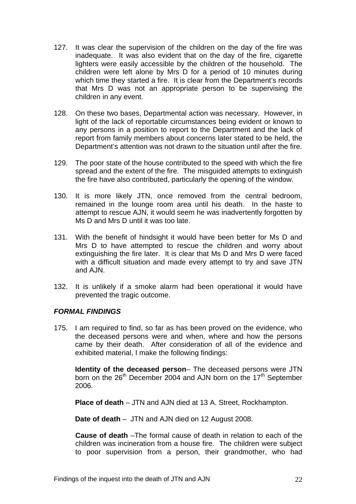- 127. It was clear the supervision of the children on the day of the fire was inadequate. It was also evident that on the day of the fire, cigarette lighters were easily accessible by the children of the household. The children were left alone by Mrs D for a period of 10 minutes during which time they started a fire. It is clear from the Department's records that Mrs D was not an appropriate person to be supervising the children in any event.
- 128. On these two bases, Departmental action was necessary. However, in light of the lack of reportable circumstances being evident or known to any persons in a position to report to the Department and the lack of report from family members about concerns later stated to be held, the Department's attention was not drawn to the situation until after the fire.
- 129. The poor state of the house contributed to the speed with which the fire spread and the extent of the fire. The misguided attempts to extinguish the fire have also contributed, particularly the opening of the window.
- 130. It is more likely JTN, once removed from the central bedroom, remained in the lounge room area until his death. In the haste to attempt to rescue AJN, it would seem he was inadvertently forgotten by Ms D and Mrs D until it was too late.
- 131. With the benefit of hindsight it would have been better for Ms D and Mrs D to have attempted to rescue the children and worry about extinguishing the fire later. It is clear that Ms D and Mrs D were faced with a difficult situation and made every attempt to try and save JTN and AJN.
- 132. It is unlikely if a smoke alarm had been operational it would have prevented the tragic outcome.

## *FORMAL FINDINGS*

175. I am required to find, so far as has been proved on the evidence, who the deceased persons were and when, where and how the persons came by their death. After consideration of all of the evidence and exhibited material, I make the following findings:

 **Identity of the deceased person**– The deceased persons were JTN born on the 26<sup>th</sup> December 2004 and AJN born on the 17<sup>th</sup> September 2006.

 **Place of death** – JTN and AJN died at 13 A. Street, Rockhampton.

 **Date of death** – JTN and AJN died on 12 August 2008.

 **Cause of death** –The formal cause of death in relation to each of the children was incineration from a house fire. The children were subject to poor supervision from a person, their grandmother, who had